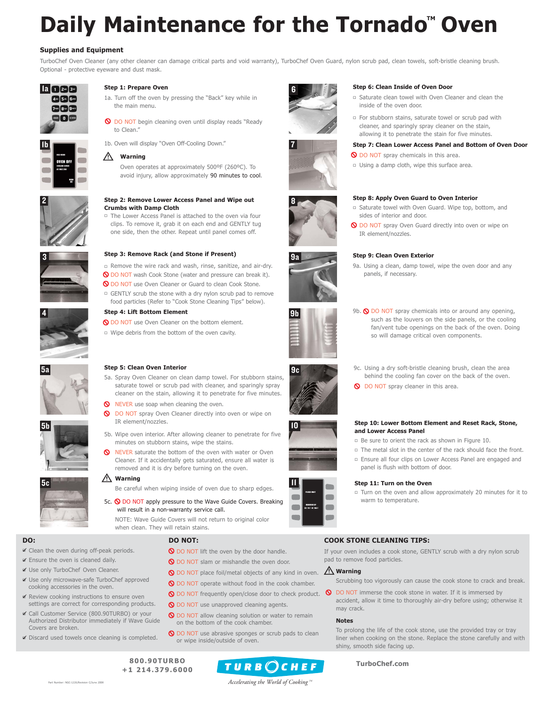# **COOK STONE CLEANING TIPS:**

If your oven includes a cook stone, GENTLY scrub with a dry nylon scrub pad to remove food particles.

# **Warning**

Scrubbing too vigorously can cause the cook stone to crack and break.

**O** DO NOT immerse the cook stone in water. If it is immersed by accident, allow it time to thoroughly air-dry before using; otherwise it may crack.

## **Notes**

To prolong the life of the cook stone, use the provided tray or tray liner when cooking on the stone. Replace the stone carefully and with shiny, smooth side facing up.

- **O** DO NOT lift the oven by the door handle.
- O DO NOT slam or mishandle the oven door.
- **O** DO NOT place foil/metal objects of any kind in oven.
- **O** DO NOT operate without food in the cook chamber.
- **O** DO NOT frequently open/close door to check product.
- **O** DO NOT use unapproved cleaning agents.
- **O** DO NOT allow cleaning solution or water to remain on the bottom of the cook chamber.
- **Q** DO NOT use abrasive sponges or scrub pads to clean or wipe inside/outside of oven.

# **DO NOT:**

# **DO:**

- $≤$  Clean the oven during off-peak periods.
- $≤$  Ensure the oven is cleaned daily.
- Use only TurboChef Oven Cleaner.
- Use only microwave-safe TurboChef approved cooking accessories in the oven.
- Review cooking instructions to ensure oven settings are correct for corresponding products.
- Call Customer Service (800.90TURBO) or your Authorized Distributor immediately if Wave Guide Covers are broken.
- Discard used towels once cleaning is completed.

- Remove the wire rack and wash, rinse, sanitize, and air-dry. **O** DO NOT wash Cook Stone (water and pressure can break it). **O** DO NOT use Oven Cleaner or Guard to clean Cook Stone.

□ GENTLY scrub the stone with a dry nylon scrub pad to remove food particles (Refer to "Cook Stone Cleaning Tips" below).









5a









9a

**800.90TURBO +1 214.379.6000**



# **TurboChef.com**

# **Daily Maintenance for the Tornado<sup>™</sup> Oven**

# **Supplies and Equipment**

□ Turn on the oven and allow approximately 20 minutes for it to warm to temperature.

TurboChef Oven Cleaner (any other cleaner can damage critical parts and void warranty), TurboChef Oven Guard, nylon scrub pad, clean towels, soft-bristle cleaning brush. Optional - protective eyeware and dust mask.

#### **/\ Warning**

*Accelerating the World of Cooking TM*





# **Step 1: Prepare Oven**

- 1a. Turn off the oven by pressing the "Back" key while in the main menu.
- **O** DO NOT begin cleaning oven until display reads "Ready to Clean."

- □ Be sure to orient the rack as shown in Figure 10.
- □ The metal slot in the center of the rack should face the front.
- Ensure all four clips on Lower Access Panel are engaged and panel is flush with bottom of door.

# **Step 2: Remove Lower Access Panel and Wipe out Crumbs with Damp Cloth**

- The Lower Access Panel is attached to the oven via four clips. To remove it, grab it on each end and GENTLY tug one side, then the other. Repeat until panel comes off.

# **Step 3: Remove Rack (and Stone if Present)**

- **O** DO NOT spray Oven Cleaner directly into oven or wipe on IR element/nozzles.
- 5b. Wipe oven interior. After allowing cleaner to penetrate for five minutes on stubborn stains, wipe the stains.
- **NEVER** saturate the bottom of the oven with water or Oven Cleaner. If it accidentally gets saturated, ensure all water is removed and it is dry before turning on the oven.

#### $\sqrt{N}$ **Warning**

5c.  $\bigcirc$  DO NOT apply pressure to the Wave Guide Covers. Breaking will result in a non-warranty service call.

9b.  $\bigcirc$  DO NOT spray chemicals into or around any opening, such as the louvers on the side panels, or the cooling fan/vent tube openings on the back of the oven. Doing so will damage critical oven components.

- 9c. Using a dry soft-bristle cleaning brush, clean the area behind the cooling fan cover on the back of the oven.
- **O** DO NOT spray cleaner in this area.



# **Step 4: Lift Bottom Element**

**Q DO NOT use Oven Cleaner on the bottom element.** □ Wipe debris from the bottom of the oven cavity.



# **Step 6: Clean Inside of Oven Door**

- Saturate clean towel with Oven Cleaner and clean the inside of the oven door.
- For stubborn stains, saturate towel or scrub pad with cleaner, and sparingly spray cleaner on the stain, allowing it to penetrate the stain for five minutes.

# **Step 9: Clean Oven Exterior**

9a. Using a clean, damp towel, wipe the oven door and any panels, if necessary.

# **Step 11: Turn on the Oven**

# **Step 7: Clean Lower Access Panel and Bottom of Oven Door**

- **Q** DO NOT spray chemicals in this area.
- □ Using a damp cloth, wipe this surface area.

# **Step 8: Apply Oven Guard to Oven Interior**

- Saturate towel with Oven Guard. Wipe top, bottom, and sides of interior and door.
- **O** DO NOT spray Oven Guard directly into oven or wipe on IR element/nozzles.

1b. Oven will display "Oven Off-Cooling Down."

Oven operates at approximately 500ºF (260ºC). To avoid injury, allow approximately 90 minutes to cool.



## **Step 10: Lower Bottom Element and Reset Rack, Stone, and Lower Access Panel**





# **Step 5: Clean Oven Interior**

5a. Spray Oven Cleaner on clean damp towel. For stubborn stains, saturate towel or scrub pad with cleaner, and sparingly spray cleaner on the stain, allowing it to penetrate for five minutes.



Be careful when wiping inside of oven due to sharp edges.

NOTE: Wave Guide Covers will not return to original color when clean. They will retain stains.